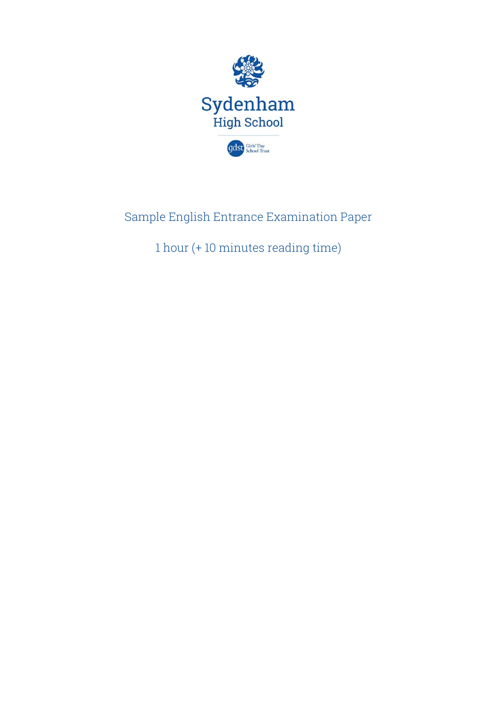

# Sample English Entrance Examination Paper

1 hour (+ 10 minutes reading time)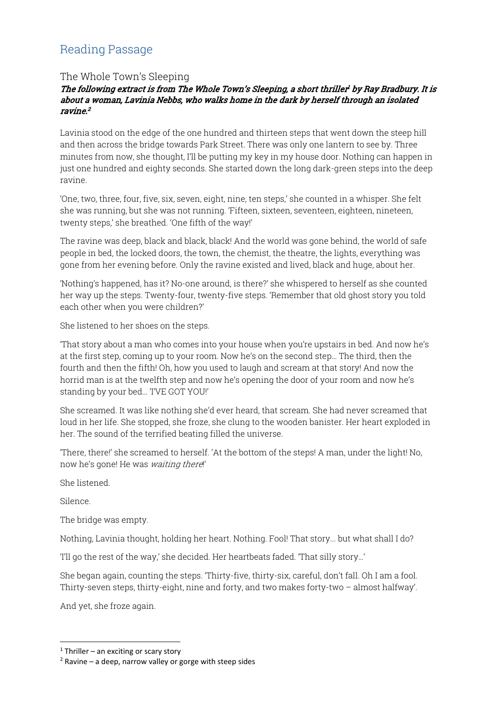## Reading Passage

### The Whole Town's Sleeping

#### The following extract is from The Whole Town's Sleeping, a short thriller' by Ray Bradbury. It is about a woman, Lavinia Nebbs, who walks home in the dark by herself through an isolated  $r$ avine $^2$

Lavinia stood on the edge of the one hundred and thirteen steps that went down the steep hill and then across the bridge towards Park Street. There was only one lantern to see by. Three minutes from now, she thought, I'll be putting my key in my house door. Nothing can happen in just one hundred and eighty seconds. She started down the long dark-green steps into the deep ravine.

'One, two, three, four, five, six, seven, eight, nine, ten steps,' she counted in a whisper. She felt she was running, but she was not running. 'Fifteen, sixteen, seventeen, eighteen, nineteen, twenty steps,' she breathed. 'One fifth of the way!'

The ravine was deep, black and black, black! And the world was gone behind, the world of safe people in bed, the locked doors, the town, the chemist, the theatre, the lights, everything was gone from her evening before. Only the ravine existed and lived, black and huge, about her.

'Nothing's happened, has it? No-one around, is there?' she whispered to herself as she counted her way up the steps. Twenty-four, twenty-five steps. 'Remember that old ghost story you told each other when you were children?'

She listened to her shoes on the steps.

'That story about a man who comes into your house when you're upstairs in bed. And now he's at the first step, coming up to your room. Now he's on the second step… The third, then the fourth and then the fifth! Oh, how you used to laugh and scream at that story! And now the horrid man is at the twelfth step and now he's opening the door of your room and now he's standing by your bed… 'I'VE GOT YOU!'

She screamed. It was like nothing she'd ever heard, that scream. She had never screamed that loud in her life. She stopped, she froze, she clung to the wooden banister. Her heart exploded in her. The sound of the terrified beating filled the universe.

'There, there!' she screamed to herself. 'At the bottom of the steps! A man, under the light! No, now he's gone! He was waiting there!'

She listened.

Silence.

-

The bridge was empty.

Nothing, Lavinia thought, holding her heart. Nothing. Fool! That story... but what shall I do?

'I'll go the rest of the way,' she decided. Her heartbeats faded. 'That silly story…'

She began again, counting the steps. 'Thirty-five, thirty-six, careful, don't fall. Oh I am a fool. Thirty-seven steps, thirty-eight, nine and forty, and two makes forty-two – almost halfway'.

And yet, she froze again.

 $1$  Thriller – an exciting or scary story

 $2$  Ravine – a deep, narrow valley or gorge with steep sides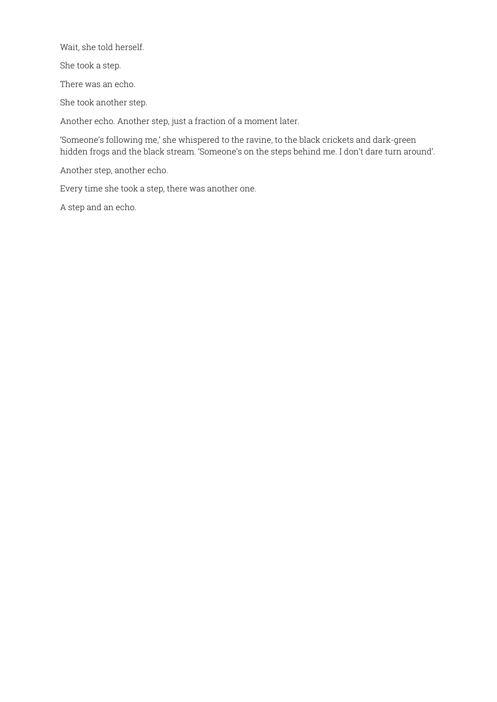Wait, she told herself.

She took a step.

There was an echo.

She took another step.

Another echo. Another step, just a fraction of a moment later.

'Someone's following me,' she whispered to the ravine, to the black crickets and dark-green hidden frogs and the black stream. 'Someone's on the steps behind me. I don't dare turn around'.

Another step, another echo.

Every time she took a step, there was another one.

A step and an echo.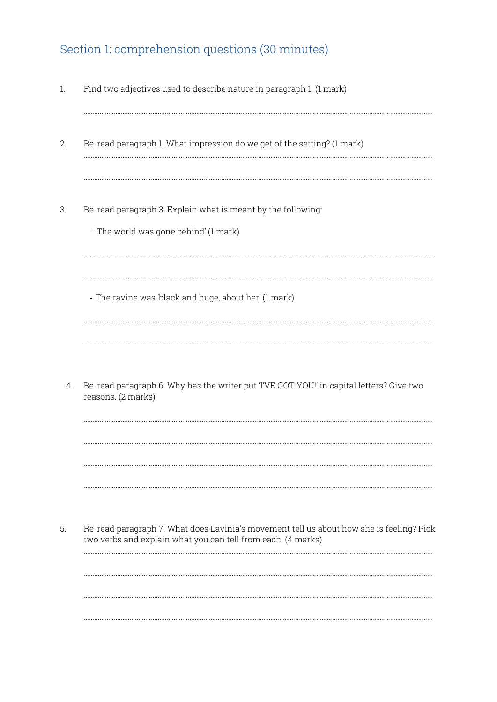## Section 1: comprehension questions (30 minutes)

- 1. Find two adjectives used to describe nature in paragraph 1. (1 mark)
- 2. Re-read paragraph 1. What impression do we get of the setting? (1 mark)

………………………………………………………………………………………………………………………………………………………………………………

………………………………………………………………………………………………………………………………………………………………………………

………………………………………………………………………………………………………………………………………………………………………………

………………………………………………………………………………………………………………………………………………………………………………

………………………………………………………………………………………………………………………………………………………………………………

………………………………………………………………………………………………………………………………………………………………………………

………………………………………………………………………………………………………………………………………………………………………………

………………………………………………………………………………………………………………………………………………………………………………

………………………………………………………………………………………………………………………………………………………………………………

………………………………………………………………………………………………………………………………………………………………………………

………………………………………………………………………………………………………………………………………………………………………………

………………………………………………………………………………………………………………………………………………………………………………

………………………………………………………………………………………………………………………………………………………………………………

- 3. Re-read paragraph 3. Explain what is meant by the following:
	- 'The world was gone behind' (1 mark)

‐ The ravine was 'black and huge, about her' (1 mark)

4. Re-read paragraph 6. Why has the writer put 'I'VE GOT YOU!' in capital letters? Give two reasons. (2 marks)

5. Re-read paragraph 7. What does Lavinia's movement tell us about how she is feeling? Pick two verbs and explain what you can tell from each. (4 marks)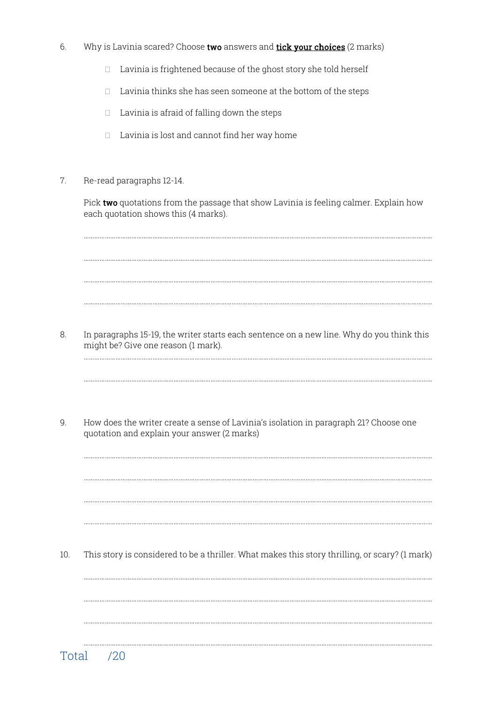- 6. Why is Lavinia scared? Choose two answers and tick your choices (2 marks)
	- $\Box$  Lavinia is frightened because of the ghost story she told herself
	- $\Box$  Lavinia thinks she has seen someone at the bottom of the steps
	- $\Box$  Lavinia is afraid of falling down the steps
	- $\Box$  Lavinia is lost and cannot find her way home
- 7. Re-read paragraphs 12-14.

Pick two quotations from the passage that show Lavinia is feeling calmer. Explain how each quotation shows this (4 marks).

………………………………………………………………………………………………………………………………………………………………………………

………………………………………………………………………………………………………………………………………………………………………………

………………………………………………………………………………………………………………………………………………………………………………

………………………………………………………………………………………………………………………………………………………………………………

………………………………………………………………………………………………………………………………………………………………………………

………………………………………………………………………………………………………………………………………………………………………………

………………………………………………………………………………………………………………………………………………………………………………

………………………………………………………………………………………………………………………………………………………………………………

………………………………………………………………………………………………………………………………………………………………………………

………………………………………………………………………………………………………………………………………………………………………………

………………………………………………………………………………………………………………………………………………………………………………

………………………………………………………………………………………………………………………………………………………………………………

8. In paragraphs 15-19, the writer starts each sentence on a new line. Why do you think this might be? Give one reason (1 mark).

9. How does the writer create a sense of Lavinia's isolation in paragraph 21? Choose one quotation and explain your answer (2 marks)

10. This story is considered to be a thriller. What makes this story thrilling, or scary? (1 mark)